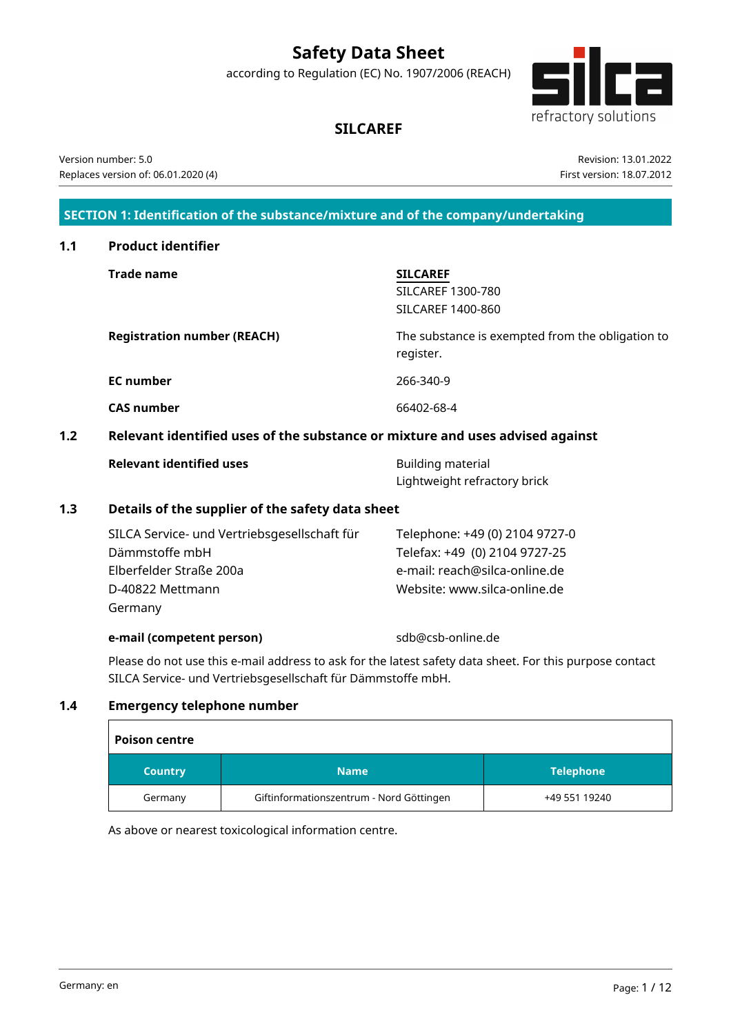# **Safety Data Sheet**

according to Regulation (EC) No. 1907/2006 (REACH)



## **SILCAREF**

Version number: 5.0 Replaces version of: 06.01.2020 (4)

Revision: 13.01.2022 First version: 18.07.2012

### **SECTION 1: Identification of the substance/mixture and of the company/undertaking**

| 1.1 | <b>Product identifier</b>                                                     |                                                                 |  |  |  |  |
|-----|-------------------------------------------------------------------------------|-----------------------------------------------------------------|--|--|--|--|
|     | <b>Trade name</b>                                                             | <b>SILCAREF</b><br><b>SILCAREF 1300-780</b>                     |  |  |  |  |
|     |                                                                               | <b>SILCAREF 1400-860</b>                                        |  |  |  |  |
|     | <b>Registration number (REACH)</b>                                            | The substance is exempted from the obligation to<br>register.   |  |  |  |  |
|     | <b>EC</b> number                                                              | 266-340-9                                                       |  |  |  |  |
|     | <b>CAS number</b>                                                             | 66402-68-4                                                      |  |  |  |  |
| 1.2 | Relevant identified uses of the substance or mixture and uses advised against |                                                                 |  |  |  |  |
|     | <b>Relevant identified uses</b>                                               | Building material<br>Lightweight refractory brick               |  |  |  |  |
| 1.3 | Details of the supplier of the safety data sheet                              |                                                                 |  |  |  |  |
|     | SILCA Service- und Vertriebsgesellschaft für<br>Dämmstoffe mbH                | Telephone: +49 (0) 2104 9727-0<br>Telefax: +49 (0) 2104 9727-25 |  |  |  |  |
|     | Elberfelder Straße 200a                                                       | e-mail: reach@silca-online.de                                   |  |  |  |  |

### **e-mail (competent person)** sdb@csb-online.de

D-40822 Mettmann

Germany

Website: www.silca-online.de

Please do not use this e-mail address to ask for the latest safety data sheet. For this purpose contact SILCA Service- und Vertriebsgesellschaft für Dämmstoffe mbH.

### **1.4 Emergency telephone number**

| <b>Poison centre</b> |                                          |                  |  |  |  |  |
|----------------------|------------------------------------------|------------------|--|--|--|--|
| <b>Country</b>       | <b>Name</b>                              | <b>Telephone</b> |  |  |  |  |
| Germany              | Giftinformationszentrum - Nord Göttingen | +49 551 19240    |  |  |  |  |

As above or nearest toxicological information centre.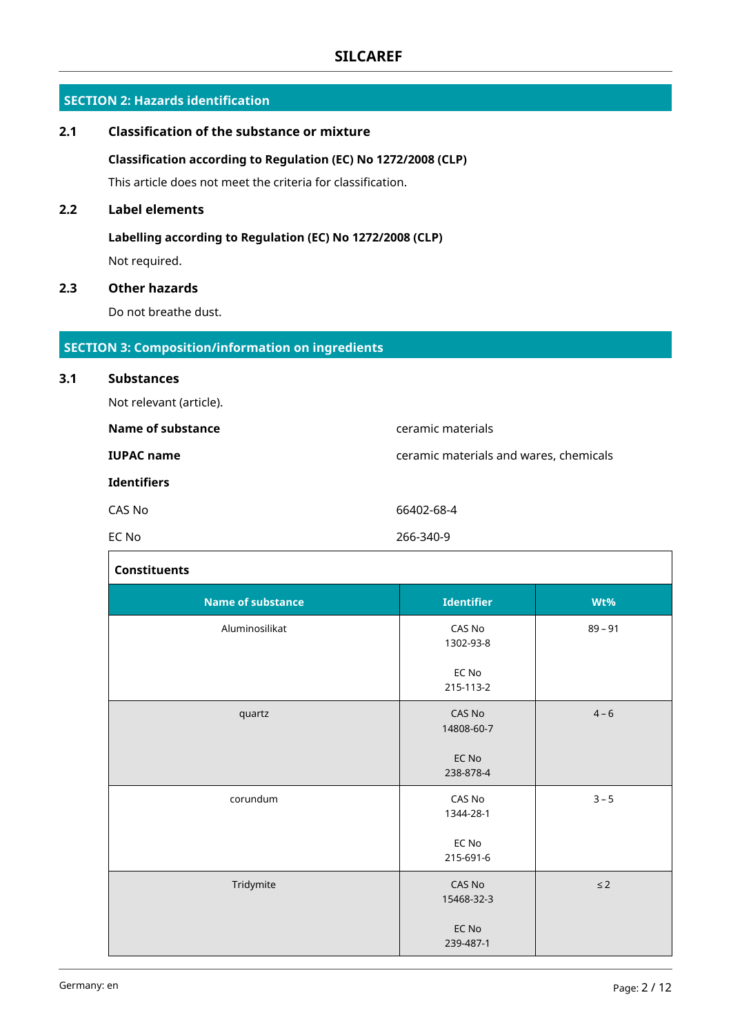### **SECTION 2: Hazards identification**

# **2.1 Classification of the substance or mixture Classification according to Regulation (EC) No 1272/2008 (CLP)** This article does not meet the criteria for classification. **2.2 Label elements Labelling according to Regulation (EC) No 1272/2008 (CLP)** Not required. **2.3 Other hazards** Do not breathe dust. **SECTION 3: Composition/information on ingredients 3.1 Substances** Not relevant (article).

| Name of substance  | ceramic materials                      |  |
|--------------------|----------------------------------------|--|
| <b>IUPAC name</b>  | ceramic materials and wares, chemicals |  |
| <b>Identifiers</b> |                                        |  |
| CAS No             | 66402-68-4                             |  |
| EC No              | 266-340-9                              |  |

| <b>Constituents</b>      |                      |           |  |  |  |
|--------------------------|----------------------|-----------|--|--|--|
| <b>Name of substance</b> | <b>Identifier</b>    | Wt%       |  |  |  |
| Aluminosilikat           | CAS No<br>1302-93-8  | $89 - 91$ |  |  |  |
|                          | EC No<br>215-113-2   |           |  |  |  |
| quartz                   | CAS No<br>14808-60-7 | $4 - 6$   |  |  |  |
|                          | EC No<br>238-878-4   |           |  |  |  |
| corundum                 | CAS No<br>1344-28-1  | $3 - 5$   |  |  |  |
|                          | EC No<br>215-691-6   |           |  |  |  |
| Tridymite                | CAS No<br>15468-32-3 | $\leq$ 2  |  |  |  |
|                          | EC No<br>239-487-1   |           |  |  |  |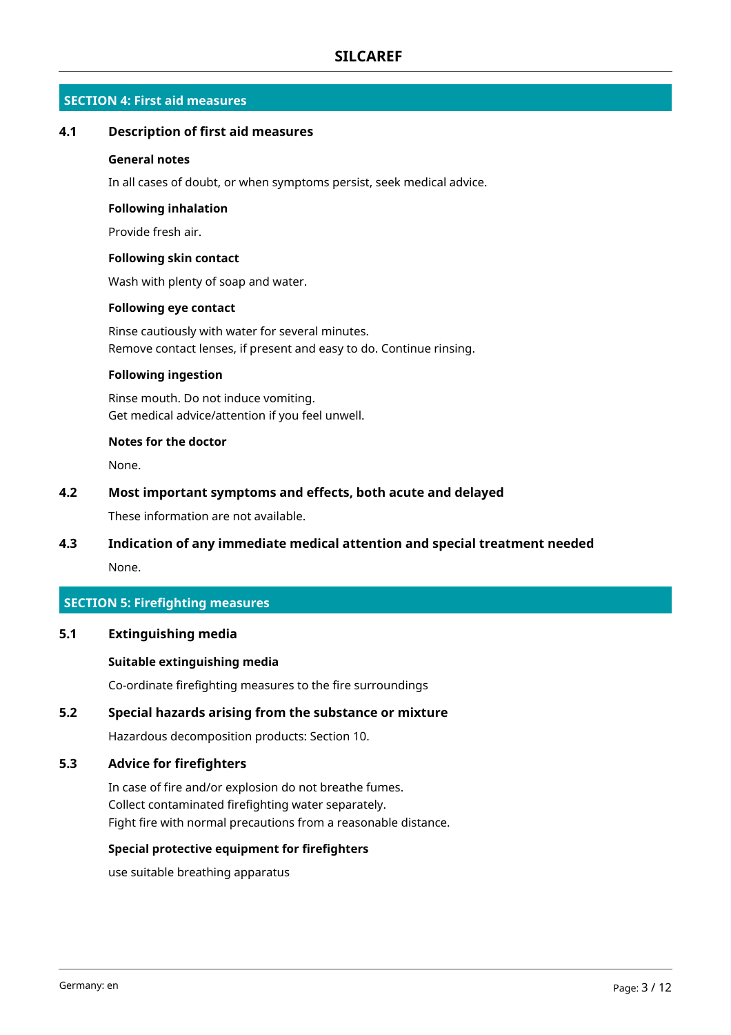### **SECTION 4: First aid measures**

### **4.1 Description of first aid measures**

### **General notes**

In all cases of doubt, or when symptoms persist, seek medical advice.

#### **Following inhalation**

Provide fresh air.

#### **Following skin contact**

Wash with plenty of soap and water.

#### **Following eye contact**

Rinse cautiously with water for several minutes. Remove contact lenses, if present and easy to do. Continue rinsing.

### **Following ingestion**

Rinse mouth. Do not induce vomiting. Get medical advice/attention if you feel unwell.

#### **Notes for the doctor**

None.

### **4.2 Most important symptoms and effects, both acute and delayed**

These information are not available.

### **4.3 Indication of any immediate medical attention and special treatment needed**

None.

### **SECTION 5: Firefighting measures**

### **5.1 Extinguishing media**

### **Suitable extinguishing media**

Co-ordinate firefighting measures to the fire surroundings

### **5.2 Special hazards arising from the substance or mixture**

Hazardous decomposition products: Section 10.

### **5.3 Advice for firefighters**

In case of fire and/or explosion do not breathe fumes. Collect contaminated firefighting water separately. Fight fire with normal precautions from a reasonable distance.

#### **Special protective equipment for firefighters**

use suitable breathing apparatus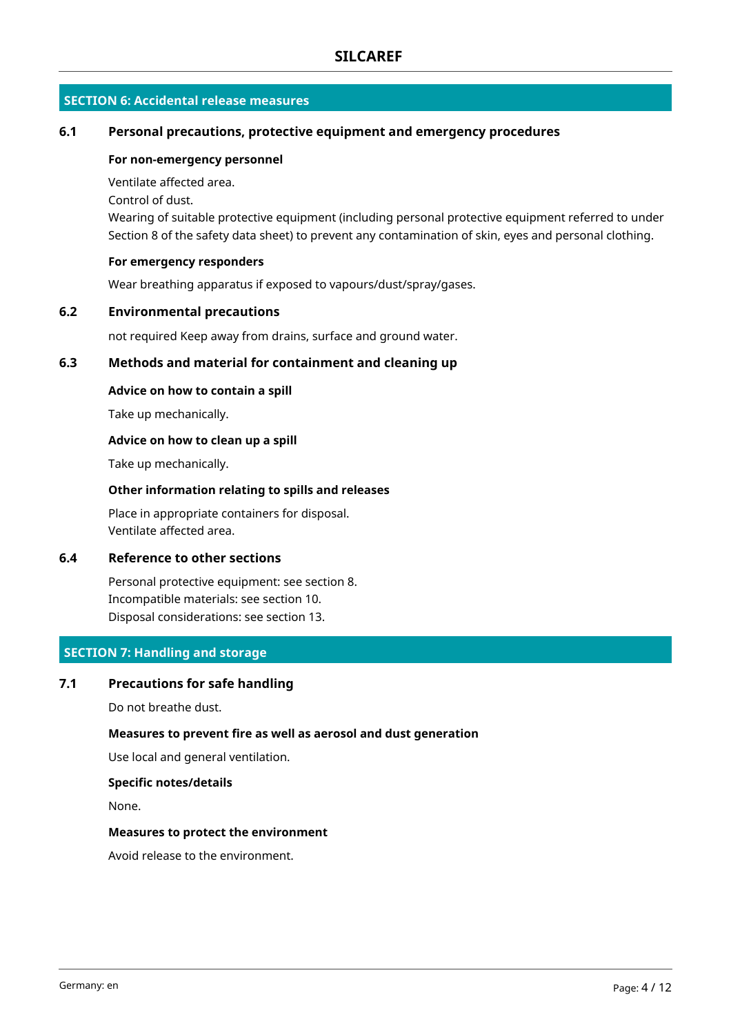### **SECTION 6: Accidental release measures**

### **6.1 Personal precautions, protective equipment and emergency procedures**

#### **For non-emergency personnel**

Ventilate affected area.

Control of dust.

Wearing of suitable protective equipment (including personal protective equipment referred to under Section 8 of the safety data sheet) to prevent any contamination of skin, eyes and personal clothing.

#### **For emergency responders**

Wear breathing apparatus if exposed to vapours/dust/spray/gases.

### **6.2 Environmental precautions**

not required Keep away from drains, surface and ground water.

### **6.3 Methods and material for containment and cleaning up**

#### **Advice on how to contain a spill**

Take up mechanically.

### **Advice on how to clean up a spill**

Take up mechanically.

### **Other information relating to spills and releases**

Place in appropriate containers for disposal. Ventilate affected area.

### **6.4 Reference to other sections**

Personal protective equipment: see section 8. Incompatible materials: see section 10. Disposal considerations: see section 13.

### **SECTION 7: Handling and storage**

### **7.1 Precautions for safe handling**

Do not breathe dust.

### **Measures to prevent fire as well as aerosol and dust generation**

Use local and general ventilation.

#### **Specific notes/details**

None.

#### **Measures to protect the environment**

Avoid release to the environment.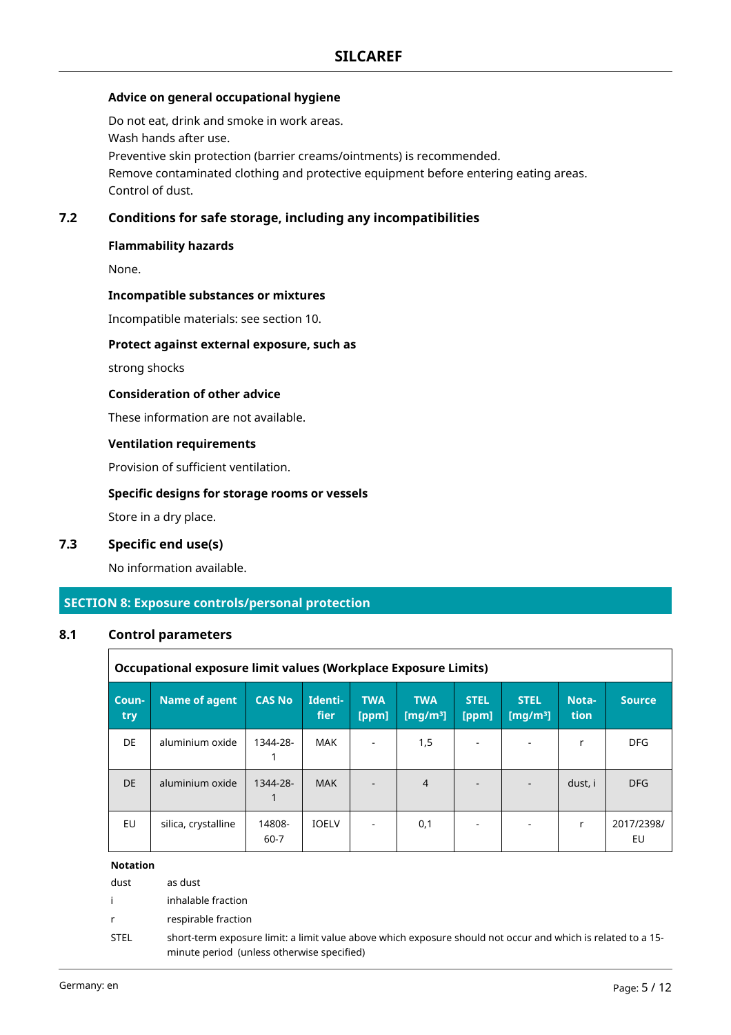### **Advice on general occupational hygiene**

Do not eat, drink and smoke in work areas. Wash hands after use. Preventive skin protection (barrier creams/ointments) is recommended. Remove contaminated clothing and protective equipment before entering eating areas. Control of dust.

### **7.2 Conditions for safe storage, including any incompatibilities**

### **Flammability hazards**

None.

### **Incompatible substances or mixtures**

Incompatible materials: see section 10.

#### **Protect against external exposure, such as**

strong shocks

#### **Consideration of other advice**

These information are not available.

### **Ventilation requirements**

Provision of sufficient ventilation.

### **Specific designs for storage rooms or vessels**

Store in a dry place.

### **7.3 Specific end use(s)**

No information available.

### **SECTION 8: Exposure controls/personal protection**

#### **8.1 Control parameters**

|              | Occupational exposure limit values (Workplace Exposure Limits) |                |                        |                     |                           |                          |                                     |               |                  |
|--------------|----------------------------------------------------------------|----------------|------------------------|---------------------|---------------------------|--------------------------|-------------------------------------|---------------|------------------|
| Coun-<br>try | <b>Name of agent</b>                                           | <b>CAS No</b>  | Identi-<br><b>fier</b> | <b>TWA</b><br>[ppm] | <b>TWA</b><br>[ $mg/m3$ ] | <b>STEL</b><br>[ppm]     | <b>STEL</b><br>[mg/m <sup>3</sup> ] | Nota-<br>tion | <b>Source</b>    |
| DE           | aluminium oxide                                                | 1344-28-       | MAK                    |                     | 1,5                       | ٠                        |                                     |               | <b>DFG</b>       |
| DE.          | aluminium oxide                                                | 1344-28-       | <b>MAK</b>             |                     | $\overline{4}$            | $\blacksquare$           |                                     | dust, i       | <b>DFG</b>       |
| EU           | silica, crystalline                                            | 14808-<br>60-7 | <b>IOELV</b>           |                     | 0,1                       | $\overline{\phantom{a}}$ |                                     | r             | 2017/2398/<br>EU |

### **Notation**

| dust | as dust |  |  |  |
|------|---------|--|--|--|
|      |         |  |  |  |

i inhalable fraction

r respirable fraction

STEL short-term exposure limit: a limit value above which exposure should not occur and which is related to a 15 minute period (unless otherwise specified)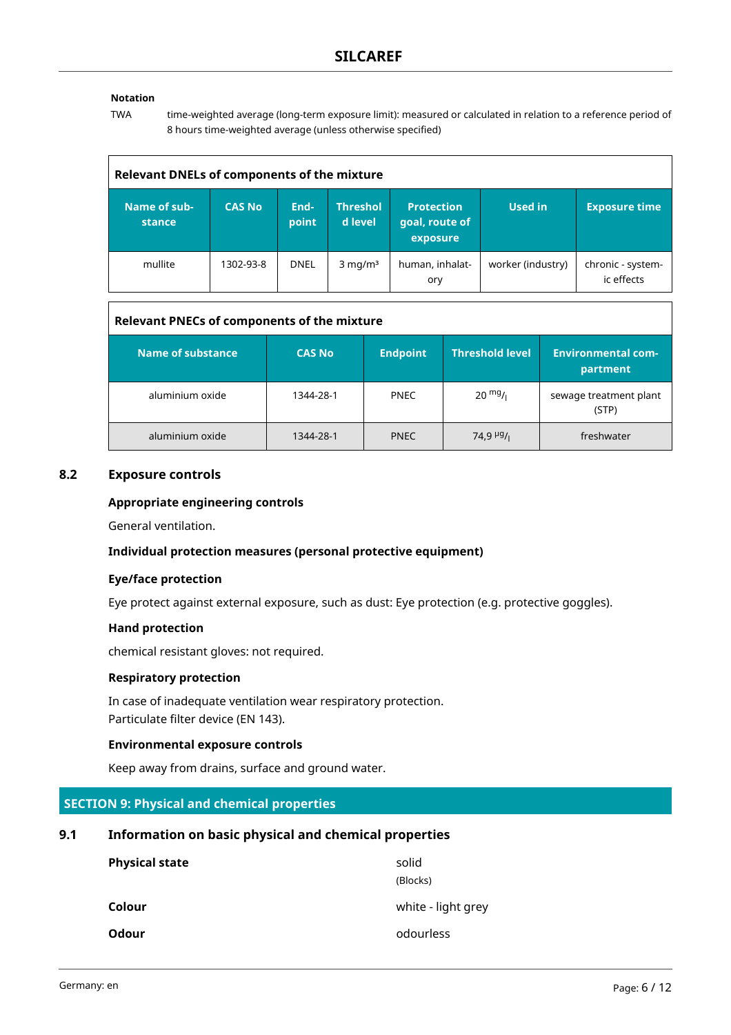### **Notation**

TWA time-weighted average (long-term exposure limit): measured or calculated in relation to a reference period of 8 hours time-weighted average (unless otherwise specified)

| <b>Relevant DNELs of components of the mixture</b> |               |               |                            |                                                 |                   |                                 |  |
|----------------------------------------------------|---------------|---------------|----------------------------|-------------------------------------------------|-------------------|---------------------------------|--|
| Name of sub-<br>stance                             | <b>CAS No</b> | End-<br>point | <b>Threshol</b><br>d level | <b>Protection</b><br>goal, route of<br>exposure | <b>Used in</b>    | <b>Exposure time</b>            |  |
| mullite                                            | 1302-93-8     | <b>DNEL</b>   | $3$ mg/m <sup>3</sup>      | human, inhalat-<br>ory                          | worker (industry) | chronic - system-<br>ic effects |  |

### **Relevant PNECs of components of the mixture**

| Name of substance | <b>CAS No</b> | <b>Endpoint</b> | <b>Threshold level</b> | <b>Environmental com-</b><br>partment |
|-------------------|---------------|-----------------|------------------------|---------------------------------------|
| aluminium oxide   | 1344-28-1     | <b>PNEC</b>     | $20 \frac{mg}{l}$      | sewage treatment plant<br>(STP)       |
| aluminium oxide   | 1344-28-1     | <b>PNEC</b>     | 74,9 $\frac{\mu g}{I}$ | freshwater                            |

### **8.2 Exposure controls**

### **Appropriate engineering controls**

General ventilation.

#### **Individual protection measures (personal protective equipment)**

#### **Eye/face protection**

Eye protect against external exposure, such as dust: Eye protection (e.g. protective goggles).

#### **Hand protection**

chemical resistant gloves: not required.

#### **Respiratory protection**

In case of inadequate ventilation wear respiratory protection. Particulate filter device (EN 143).

#### **Environmental exposure controls**

Keep away from drains, surface and ground water.

### **SECTION 9: Physical and chemical properties**

### **9.1 Information on basic physical and chemical properties**

| <b>Physical state</b> | solid              |
|-----------------------|--------------------|
|                       | (Blocks)           |
| Colour                | white - light grey |
| Odour                 | odourless          |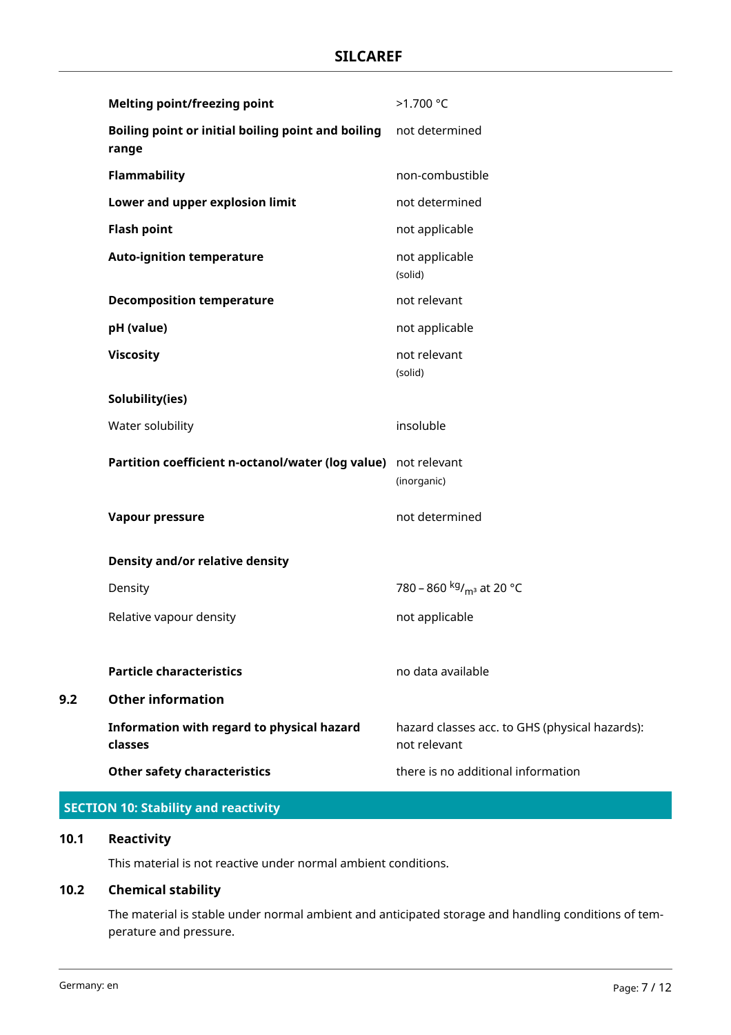| <b>Melting point/freezing point</b>                            | >1.700 °C                                                      |
|----------------------------------------------------------------|----------------------------------------------------------------|
| Boiling point or initial boiling point and boiling<br>range    | not determined                                                 |
| <b>Flammability</b>                                            | non-combustible                                                |
| Lower and upper explosion limit                                | not determined                                                 |
| <b>Flash point</b>                                             | not applicable                                                 |
| <b>Auto-ignition temperature</b>                               | not applicable<br>(solid)                                      |
| <b>Decomposition temperature</b>                               | not relevant                                                   |
| pH (value)                                                     | not applicable                                                 |
| <b>Viscosity</b>                                               | not relevant<br>(solid)                                        |
| Solubility(ies)                                                |                                                                |
| Water solubility                                               | insoluble                                                      |
|                                                                |                                                                |
| Partition coefficient n-octanol/water (log value) not relevant | (inorganic)                                                    |
| Vapour pressure                                                | not determined                                                 |
| <b>Density and/or relative density</b>                         |                                                                |
| Density                                                        | 780 – 860 kg/ <sub>m<sup>3</sup></sub> at 20 °C                |
| Relative vapour density                                        | not applicable                                                 |
|                                                                |                                                                |
| <b>Particle characteristics</b>                                | no data available                                              |
| <b>Other information</b>                                       |                                                                |
| Information with regard to physical hazard<br>classes          | hazard classes acc. to GHS (physical hazards):<br>not relevant |

### **SECTION 10: Stability and reactivity**

### **10.1 Reactivity**

**9.2** 

This material is not reactive under normal ambient conditions.

### **10.2 Chemical stability**

The material is stable under normal ambient and anticipated storage and handling conditions of temperature and pressure.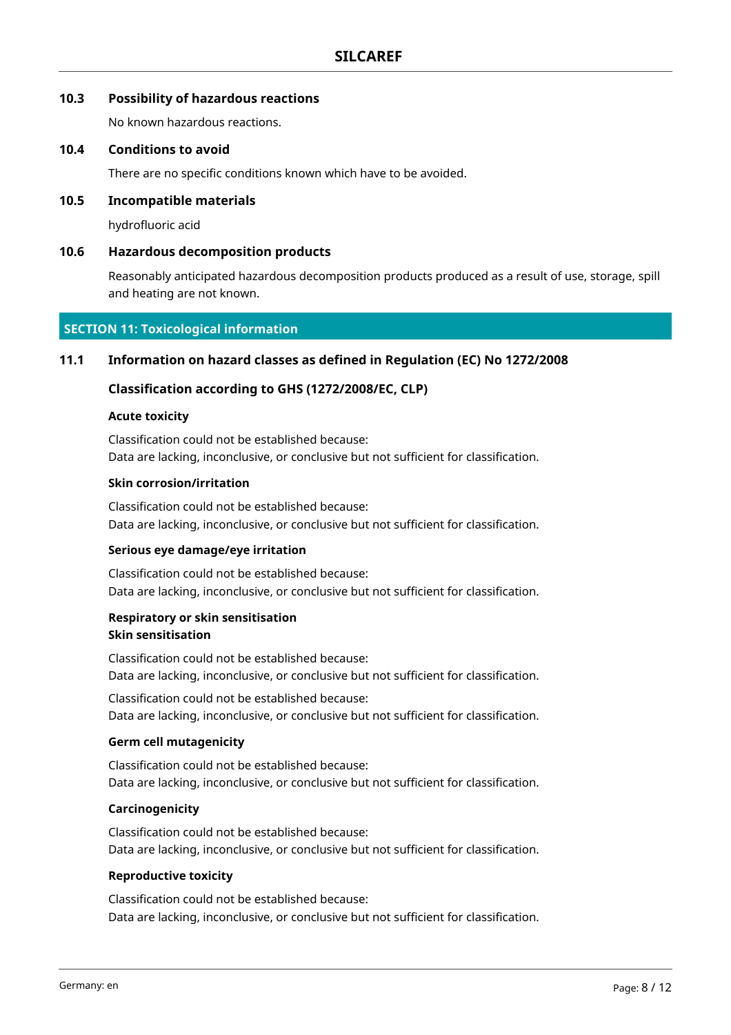### **10.3 Possibility of hazardous reactions**

No known hazardous reactions.

### **10.4 Conditions to avoid**

There are no specific conditions known which have to be avoided.

### **10.5 Incompatible materials**

hydrofluoric acid

### **10.6 Hazardous decomposition products**

Reasonably anticipated hazardous decomposition products produced as a result of use, storage, spill and heating are not known.

### **SECTION 11: Toxicological information**

### **11.1 Information on hazard classes as defined in Regulation (EC) No 1272/2008**

### **Classification according to GHS (1272/2008/EC, CLP)**

#### **Acute toxicity**

Classification could not be established because: Data are lacking, inconclusive, or conclusive but not sufficient for classification.

#### **Skin corrosion/irritation**

Classification could not be established because: Data are lacking, inconclusive, or conclusive but not sufficient for classification.

#### **Serious eye damage/eye irritation**

Classification could not be established because: Data are lacking, inconclusive, or conclusive but not sufficient for classification.

### **Respiratory or skin sensitisation Skin sensitisation**

Classification could not be established because: Data are lacking, inconclusive, or conclusive but not sufficient for classification.

Classification could not be established because: Data are lacking, inconclusive, or conclusive but not sufficient for classification.

### **Germ cell mutagenicity**

Classification could not be established because: Data are lacking, inconclusive, or conclusive but not sufficient for classification.

### **Carcinogenicity**

Classification could not be established because: Data are lacking, inconclusive, or conclusive but not sufficient for classification.

#### **Reproductive toxicity**

Classification could not be established because: Data are lacking, inconclusive, or conclusive but not sufficient for classification.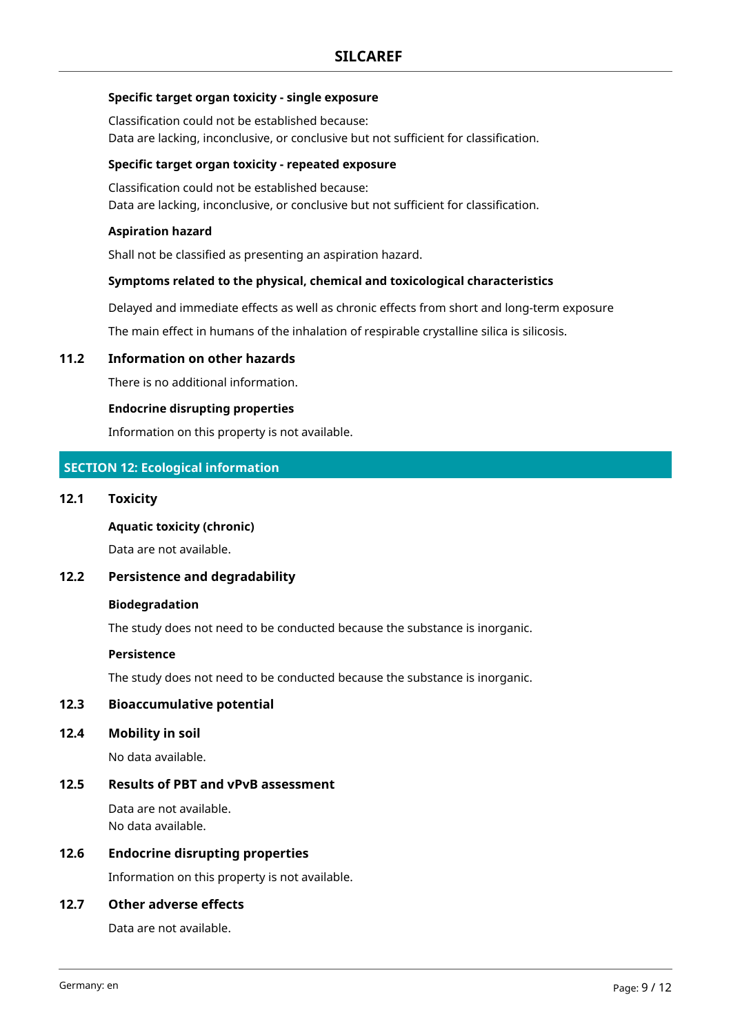### **Specific target organ toxicity - single exposure**

Classification could not be established because: Data are lacking, inconclusive, or conclusive but not sufficient for classification.

### **Specific target organ toxicity - repeated exposure**

Classification could not be established because: Data are lacking, inconclusive, or conclusive but not sufficient for classification.

### **Aspiration hazard**

Shall not be classified as presenting an aspiration hazard.

### **Symptoms related to the physical, chemical and toxicological characteristics**

Delayed and immediate effects as well as chronic effects from short and long-term exposure

The main effect in humans of the inhalation of respirable crystalline silica is silicosis.

### **11.2 Information on other hazards**

There is no additional information.

### **Endocrine disrupting properties**

Information on this property is not available.

### **SECTION 12: Ecological information**

### **12.1 Toxicity**

**Aquatic toxicity (chronic)**

Data are not available.

### **12.2 Persistence and degradability**

#### **Biodegradation**

The study does not need to be conducted because the substance is inorganic.

#### **Persistence**

The study does not need to be conducted because the substance is inorganic.

### **12.3 Bioaccumulative potential**

**12.4 Mobility in soil**

No data available.

### **12.5 Results of PBT and vPvB assessment**

Data are not available. No data available.

### **12.6 Endocrine disrupting properties**

Information on this property is not available.

### **12.7 Other adverse effects**

Data are not available.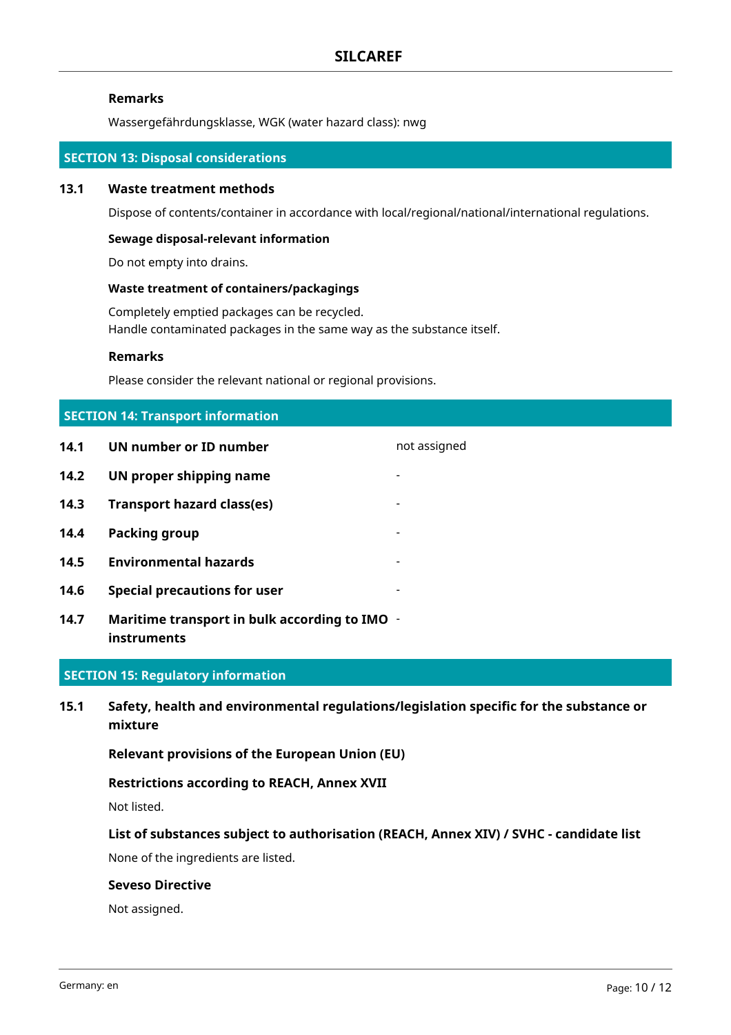### **Remarks**

Wassergefährdungsklasse, WGK (water hazard class): nwg

### **SECTION 13: Disposal considerations**

### **13.1 Waste treatment methods**

Dispose of contents/container in accordance with local/regional/national/international regulations.

### **Sewage disposal-relevant information**

Do not empty into drains.

### **Waste treatment of containers/packagings**

Completely emptied packages can be recycled. Handle contaminated packages in the same way as the substance itself.

#### **Remarks**

Please consider the relevant national or regional provisions.

| <b>SECTION 14: Transport information</b> |                                                              |                          |  |  |
|------------------------------------------|--------------------------------------------------------------|--------------------------|--|--|
| 14.1                                     | UN number or ID number                                       | not assigned             |  |  |
| 14.2                                     | UN proper shipping name                                      | $\overline{\phantom{0}}$ |  |  |
| 14.3                                     | <b>Transport hazard class(es)</b>                            |                          |  |  |
| 14.4                                     | Packing group                                                | -                        |  |  |
| 14.5                                     | <b>Environmental hazards</b>                                 | -                        |  |  |
| 14.6                                     | <b>Special precautions for user</b>                          |                          |  |  |
| 14.7                                     | Maritime transport in bulk according to IMO -<br>instruments |                          |  |  |

## **SECTION 15: Regulatory information**

**15.1 Safety, health and environmental regulations/legislation specific for the substance or mixture**

**Relevant provisions of the European Union (EU)**

### **Restrictions according to REACH, Annex XVII**

Not listed.

### **List of substances subject to authorisation (REACH, Annex XIV) / SVHC - candidate list**

None of the ingredients are listed.

### **Seveso Directive**

Not assigned.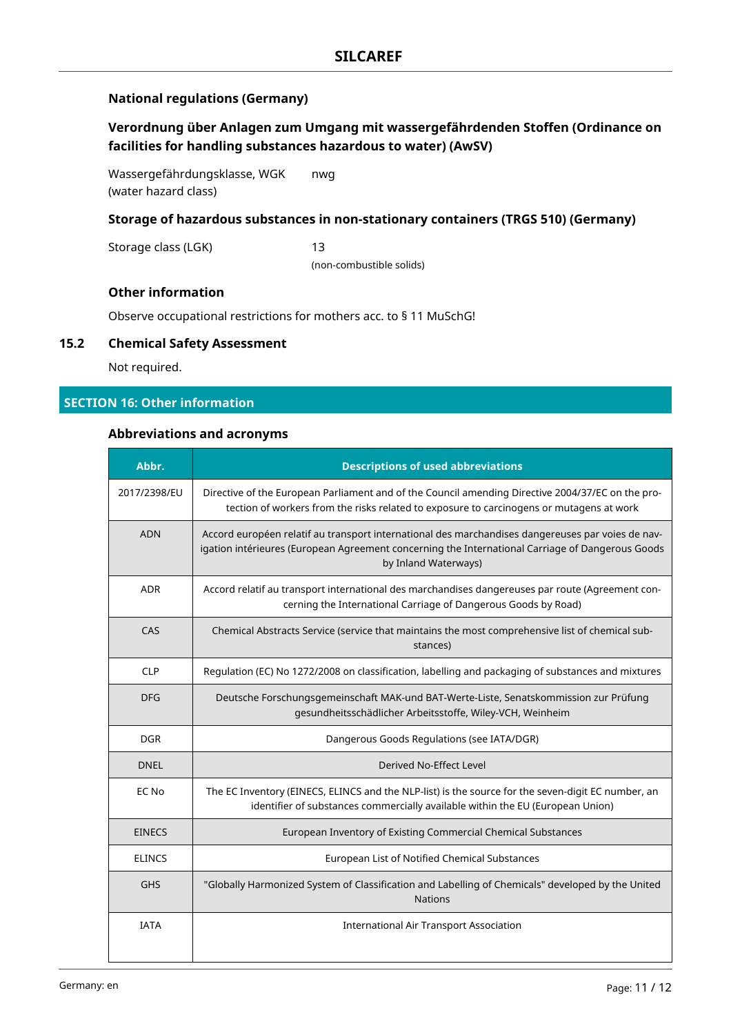### **National regulations (Germany)**

### **Verordnung über Anlagen zum Umgang mit wassergefährdenden Stoffen (Ordinance on facilities for handling substances hazardous to water) (AwSV)**

Wassergefährdungsklasse, WGK (water hazard class) nwg

### **Storage of hazardous substances in non-stationary containers (TRGS 510) (Germany)**

Storage class (LGK) 13

(non-combustible solids)

### **Other information**

Observe occupational restrictions for mothers acc. to § 11 MuSchG!

### **15.2 Chemical Safety Assessment**

Not required.

### **SECTION 16: Other information**

### **Abbreviations and acronyms**

| Abbr.         | <b>Descriptions of used abbreviations</b>                                                                                                                                                                                     |
|---------------|-------------------------------------------------------------------------------------------------------------------------------------------------------------------------------------------------------------------------------|
| 2017/2398/EU  | Directive of the European Parliament and of the Council amending Directive 2004/37/EC on the pro-<br>tection of workers from the risks related to exposure to carcinogens or mutagens at work                                 |
| <b>ADN</b>    | Accord européen relatif au transport international des marchandises dangereuses par voies de nav-<br>igation intérieures (European Agreement concerning the International Carriage of Dangerous Goods<br>by Inland Waterways) |
| <b>ADR</b>    | Accord relatif au transport international des marchandises dangereuses par route (Agreement con-<br>cerning the International Carriage of Dangerous Goods by Road)                                                            |
| CAS           | Chemical Abstracts Service (service that maintains the most comprehensive list of chemical sub-<br>stances)                                                                                                                   |
| <b>CLP</b>    | Regulation (EC) No 1272/2008 on classification, labelling and packaging of substances and mixtures                                                                                                                            |
| <b>DFG</b>    | Deutsche Forschungsgemeinschaft MAK-und BAT-Werte-Liste, Senatskommission zur Prüfung<br>gesundheitsschädlicher Arbeitsstoffe, Wiley-VCH, Weinheim                                                                            |
| <b>DGR</b>    | Dangerous Goods Regulations (see IATA/DGR)                                                                                                                                                                                    |
| <b>DNEL</b>   | Derived No-Effect Level                                                                                                                                                                                                       |
| EC No         | The EC Inventory (EINECS, ELINCS and the NLP-list) is the source for the seven-digit EC number, an<br>identifier of substances commercially available within the EU (European Union)                                          |
| <b>EINECS</b> | European Inventory of Existing Commercial Chemical Substances                                                                                                                                                                 |
| <b>ELINCS</b> | European List of Notified Chemical Substances                                                                                                                                                                                 |
| <b>GHS</b>    | "Globally Harmonized System of Classification and Labelling of Chemicals" developed by the United<br><b>Nations</b>                                                                                                           |
| <b>IATA</b>   | <b>International Air Transport Association</b>                                                                                                                                                                                |